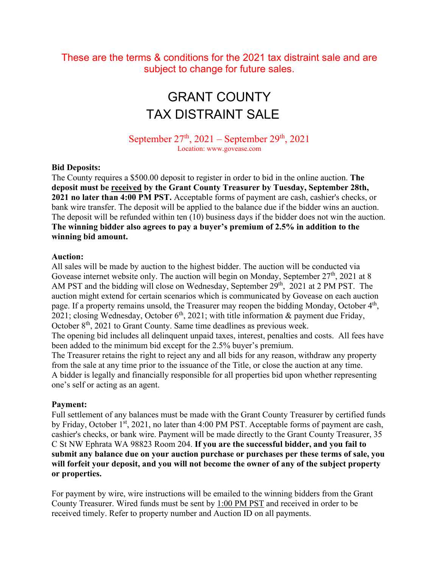These are the terms & conditions for the 2021 tax distraint sale and are subject to change for future sales.

# GRANT COUNTY TAX DISTRAINT SALE

September  $27<sup>th</sup>$ ,  $2021$  – September  $29<sup>th</sup>$ ,  $2021$ Location: www.govease.com

#### **Bid Deposits:**

The County requires a \$500.00 deposit to register in order to bid in the online auction. **The deposit must be received by the Grant County Treasurer by Tuesday, September 28th, 2021 no later than 4:00 PM PST.** Acceptable forms of payment are cash, cashier's checks, or bank wire transfer. The deposit will be applied to the balance due if the bidder wins an auction. The deposit will be refunded within ten (10) business days if the bidder does not win the auction. **The winning bidder also agrees to pay a buyer's premium of 2.5% in addition to the winning bid amount.**

#### **Auction:**

All sales will be made by auction to the highest bidder. The auction will be conducted via Govease internet website only. The auction will begin on Monday, September  $27<sup>th</sup>$ , 2021 at 8 AM PST and the bidding will close on Wednesday, September 29<sup>th</sup>, 2021 at 2 PM PST. The auction might extend for certain scenarios which is communicated by Govease on each auction page. If a property remains unsold, the Treasurer may reopen the bidding Monday, October 4<sup>th</sup>, 2021; closing Wednesday, October  $6<sup>th</sup>$ , 2021; with title information & payment due Friday, October  $8<sup>th</sup>$ , 2021 to Grant County. Same time deadlines as previous week.

The opening bid includes all delinquent unpaid taxes, interest, penalties and costs. All fees have been added to the minimum bid except for the 2.5% buyer's premium.

The Treasurer retains the right to reject any and all bids for any reason, withdraw any property from the sale at any time prior to the issuance of the Title, or close the auction at any time. A bidder is legally and financially responsible for all properties bid upon whether representing one's self or acting as an agent.

#### **Payment:**

Full settlement of any balances must be made with the Grant County Treasurer by certified funds by Friday, October 1<sup>st</sup>, 2021, no later than 4:00 PM PST. Acceptable forms of payment are cash, cashier's checks, or bank wire. Payment will be made directly to the Grant County Treasurer, 35 C St NW Ephrata WA 98823 Room 204. **If you are the successful bidder, and you fail to submit any balance due on your auction purchase or purchases per these terms of sale, you will forfeit your deposit, and you will not become the owner of any of the subject property or properties.**

For payment by wire, wire instructions will be emailed to the winning bidders from the Grant County Treasurer. Wired funds must be sent by 1:00 PM PST and received in order to be received timely. Refer to property number and Auction ID on all payments.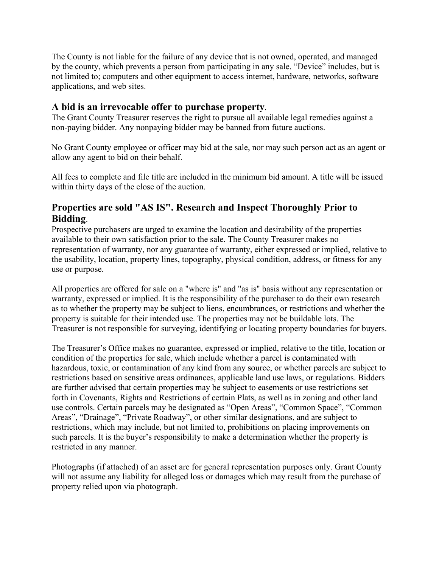The County is not liable for the failure of any device that is not owned, operated, and managed by the county, which prevents a person from participating in any sale. "Device" includes, but is not limited to; computers and other equipment to access internet, hardware, networks, software applications, and web sites.

### **A bid is an irrevocable offer to purchase property**.

The Grant County Treasurer reserves the right to pursue all available legal remedies against a non-paying bidder. Any nonpaying bidder may be banned from future auctions.

No Grant County employee or officer may bid at the sale, nor may such person act as an agent or allow any agent to bid on their behalf.

All fees to complete and file title are included in the minimum bid amount. A title will be issued within thirty days of the close of the auction.

## **Properties are sold "AS IS". Research and Inspect Thoroughly Prior to Bidding**.

Prospective purchasers are urged to examine the location and desirability of the properties available to their own satisfaction prior to the sale. The County Treasurer makes no representation of warranty, nor any guarantee of warranty, either expressed or implied, relative to the usability, location, property lines, topography, physical condition, address, or fitness for any use or purpose.

All properties are offered for sale on a "where is" and "as is" basis without any representation or warranty, expressed or implied. It is the responsibility of the purchaser to do their own research as to whether the property may be subject to liens, encumbrances, or restrictions and whether the property is suitable for their intended use. The properties may not be buildable lots. The Treasurer is not responsible for surveying, identifying or locating property boundaries for buyers.

The Treasurer's Office makes no guarantee, expressed or implied, relative to the title, location or condition of the properties for sale, which include whether a parcel is contaminated with hazardous, toxic, or contamination of any kind from any source, or whether parcels are subject to restrictions based on sensitive areas ordinances, applicable land use laws, or regulations. Bidders are further advised that certain properties may be subject to easements or use restrictions set forth in Covenants, Rights and Restrictions of certain Plats, as well as in zoning and other land use controls. Certain parcels may be designated as "Open Areas", "Common Space", "Common Areas", "Drainage", "Private Roadway", or other similar designations, and are subject to restrictions, which may include, but not limited to, prohibitions on placing improvements on such parcels. It is the buyer's responsibility to make a determination whether the property is restricted in any manner.

Photographs (if attached) of an asset are for general representation purposes only. Grant County will not assume any liability for alleged loss or damages which may result from the purchase of property relied upon via photograph.